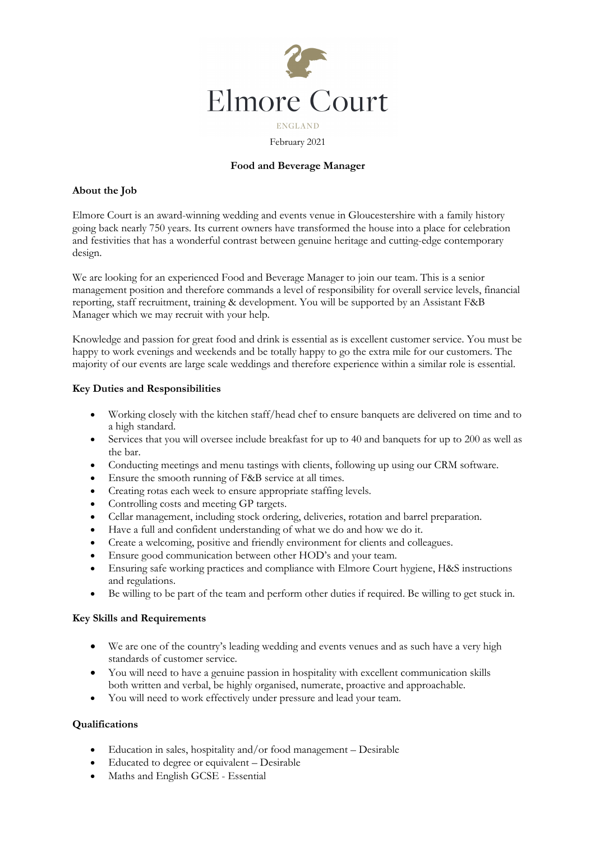

### February 2021

## **Food and Beverage Manager**

#### **About the Job**

Elmore Court is an award-winning wedding and events venue in Gloucestershire with a family history going back nearly 750 years. Its current owners have transformed the house into a place for celebration and festivities that has a wonderful contrast between genuine heritage and cutting-edge contemporary design.

We are looking for an experienced Food and Beverage Manager to join our team. This is a senior management position and therefore commands a level of responsibility for overall service levels, financial reporting, staff recruitment, training & development. You will be supported by an Assistant F&B Manager which we may recruit with your help.

Knowledge and passion for great food and drink is essential as is excellent customer service. You must be happy to work evenings and weekends and be totally happy to go the extra mile for our customers. The majority of our events are large scale weddings and therefore experience within a similar role is essential.

### **Key Duties and Responsibilities**

- Working closely with the kitchen staff/head chef to ensure banquets are delivered on time and to a high standard.
- Services that you will oversee include breakfast for up to 40 and banquets for up to 200 as well as the bar.
- Conducting meetings and menu tastings with clients, following up using our CRM software.
- Ensure the smooth running of F&B service at all times.
- Creating rotas each week to ensure appropriate staffing levels.
- Controlling costs and meeting GP targets.
- Cellar management, including stock ordering, deliveries, rotation and barrel preparation.
- Have a full and confident understanding of what we do and how we do it.
- Create a welcoming, positive and friendly environment for clients and colleagues.
- Ensure good communication between other HOD's and your team.
- Ensuring safe working practices and compliance with Elmore Court hygiene, H&S instructions and regulations.
- Be willing to be part of the team and perform other duties if required. Be willing to get stuck in.

## **Key Skills and Requirements**

- We are one of the country's leading wedding and events venues and as such have a very high standards of customer service.
- You will need to have a genuine passion in hospitality with excellent communication skills both written and verbal, be highly organised, numerate, proactive and approachable.
- You will need to work effectively under pressure and lead your team.

#### **Qualifications**

- Education in sales, hospitality and/or food management Desirable
- Educated to degree or equivalent Desirable
- Maths and English GCSE Essential